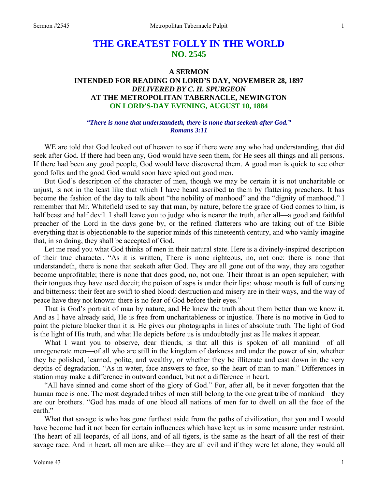# **THE GREATEST FOLLY IN THE WORLD NO. 2545**

# **A SERMON INTENDED FOR READING ON LORD'S DAY, NOVEMBER 28, 1897**  *DELIVERED BY C. H. SPURGEON*  **AT THE METROPOLITAN TABERNACLE, NEWINGTON ON LORD'S-DAY EVENING, AUGUST 10, 1884**

## *"There is none that understandeth, there is none that seeketh after God." Romans 3:11*

WE are told that God looked out of heaven to see if there were any who had understanding, that did seek after God. If there had been any, God would have seen them, for He sees all things and all persons. If there had been any good people, God would have discovered them. A good man is quick to see other good folks and the good God would soon have spied out good men.

 But God's description of the character of men, though we may be certain it is not uncharitable or unjust, is not in the least like that which I have heard ascribed to them by flattering preachers. It has become the fashion of the day to talk about "the nobility of manhood" and the "dignity of manhood." I remember that Mr. Whitefield used to say that man, by nature, before the grace of God comes to him, is half beast and half devil. I shall leave you to judge who is nearer the truth, after all—a good and faithful preacher of the Lord in the days gone by, or the refined flatterers who are taking out of the Bible everything that is objectionable to the superior minds of this nineteenth century, and who vainly imagine that, in so doing, they shall be accepted of God.

 Let me read you what God thinks of men in their natural state. Here is a divinely-inspired description of their true character. "As it is written, There is none righteous, no, not one: there is none that understandeth, there is none that seeketh after God. They are all gone out of the way, they are together become unprofitable; there is none that does good, no, not one. Their throat is an open sepulcher; with their tongues they have used deceit; the poison of asps is under their lips: whose mouth is full of cursing and bitterness: their feet are swift to shed blood: destruction and misery are in their ways, and the way of peace have they not known: there is no fear of God before their eyes."

 That is God's portrait of man by nature, and He knew the truth about them better than we know it. And as I have already said, He is free from uncharitableness or injustice. There is no motive in God to paint the picture blacker than it is. He gives our photographs in lines of absolute truth. The light of God is the light of His truth, and what He depicts before us is undoubtedly just as He makes it appear.

What I want you to observe, dear friends, is that all this is spoken of all mankind—of all unregenerate men—of all who are still in the kingdom of darkness and under the power of sin, whether they be polished, learned, polite, and wealthy, or whether they be illiterate and cast down in the very depths of degradation. "As in water, face answers to face, so the heart of man to man." Differences in station may make a difference in outward conduct, but not a difference in heart.

 "All have sinned and come short of the glory of God." For, after all, be it never forgotten that the human race is one. The most degraded tribes of men still belong to the one great tribe of mankind—they are our brothers. "God has made of one blood all nations of men for to dwell on all the face of the earth."

What that savage is who has gone furthest aside from the paths of civilization, that you and I would have become had it not been for certain influences which have kept us in some measure under restraint. The heart of all leopards, of all lions, and of all tigers, is the same as the heart of all the rest of their savage race. And in heart, all men are alike—they are all evil and if they were let alone, they would all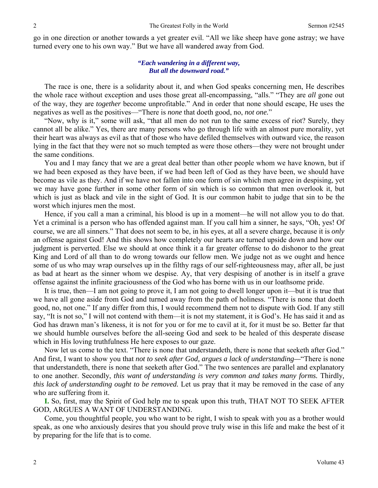go in one direction or another towards a yet greater evil. "All we like sheep have gone astray; we have turned every one to his own way." But we have all wandered away from God.

#### *"Each wandering in a different way, But all the downward road."*

The race is one, there is a solidarity about it, and when God speaks concerning men, He describes the whole race without exception and uses those great all-encompassing, "alls." "They are *all* gone out of the way, they are *together* become unprofitable." And in order that none should escape, He uses the negatives as well as the positives—"There is *none* that doeth good, no, *not one.*"

"Now, why is it," some will ask, "that all men do not run to the same excess of riot? Surely, they cannot all be alike." Yes, there are many persons who go through life with an almost pure morality, yet their heart was always as evil as that of those who have defiled themselves with outward vice, the reason lying in the fact that they were not so much tempted as were those others—they were not brought under the same conditions.

 You and I may fancy that we are a great deal better than other people whom we have known, but if we had been exposed as they have been, if we had been left of God as they have been, we should have become as vile as they. And if we have not fallen into one form of sin which men agree in despising, yet we may have gone further in some other form of sin which is so common that men overlook it, but which is just as black and vile in the sight of God. It is our common habit to judge that sin to be the worst which injures men the most.

 Hence, if you call a man a criminal, his blood is up in a moment—he will not allow you to do that. Yet a criminal is a person who has offended against man. If you call him a sinner, he says, "Oh, yes! Of course, we are all sinners." That does not seem to be, in his eyes, at all a severe charge, because it is *only* an offense against God! And this shows how completely our hearts are turned upside down and how our judgment is perverted. Else we should at once think it a far greater offense to do dishonor to the great King and Lord of all than to do wrong towards our fellow men. We judge not as we ought and hence some of us who may wrap ourselves up in the filthy rags of our self-righteousness may, after all, be just as bad at heart as the sinner whom we despise. Ay, that very despising of another is in itself a grave offense against the infinite graciousness of the God who has borne with us in our loathsome pride.

 It is true, then—I am not going to prove it, I am not going to dwell longer upon it—but it is true that we have all gone aside from God and turned away from the path of holiness. "There is none that doeth good, no, not one." If any differ from this, I would recommend them not to dispute with God. If any still say, "It is not so," I will not contend with them—it is not my statement, it is God's. He has said it and as God has drawn man's likeness, it is not for you or for me to cavil at it, for it must be so. Better far that we should humble ourselves before the all-seeing God and seek to be healed of this desperate disease which in His loving truthfulness He here exposes to our gaze.

 Now let us come to the text. "There is none that understandeth, there is none that seeketh after God." And first, I want to show you that *not to seek after God, argues a lack of understanding—*"There is none that understandeth, there is none that seeketh after God." The two sentences are parallel and explanatory to one another. Secondly, *this want of understanding is very common and takes many forms.* Thirdly*, this lack of understanding ought to be removed.* Let us pray that it may be removed in the case of any who are suffering from it.

**I.** So, first, may the Spirit of God help me to speak upon this truth, THAT NOT TO SEEK AFTER GOD, ARGUES A WANT OF UNDERSTANDING.

 Come, you thoughtful people, you who want to be right, I wish to speak with you as a brother would speak, as one who anxiously desires that you should prove truly wise in this life and make the best of it by preparing for the life that is to come.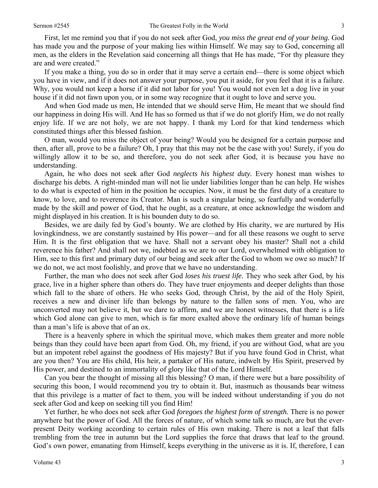First, let me remind you that if you do not seek after God, *you miss the great end of your being.* God has made you and the purpose of your making lies within Himself. We may say to God, concerning all men, as the elders in the Revelation said concerning all things that He has made, "For thy pleasure they are and were created."

 If you make a thing, you do so in order that it may serve a certain end—there is some object which you have in view, and if it does not answer your purpose, you put it aside, for you feel that it is a failure. Why, you would not keep a horse if it did not labor for you! You would not even let a dog live in your house if it did not fawn upon you, or in some way recognize that it ought to love and serve you.

 And when God made us men, He intended that we should serve Him, He meant that we should find our happiness in doing His will. And He has so formed us that if we do not glorify Him, we do not really enjoy life. If we are not holy, we are not happy. I thank my Lord for that kind tenderness which constituted things after this blessed fashion.

 O man, would you miss the object of your being? Would you be designed for a certain purpose and then, after all, prove to be a failure? Oh, I pray that this may not be the case with you! Surely, if you do willingly allow it to be so, and therefore, you do not seek after God, it is because you have no understanding.

 Again, he who does not seek after God *neglects his highest duty.* Every honest man wishes to discharge his debts. A right-minded man will not lie under liabilities longer than he can help. He wishes to do what is expected of him in the position he occupies. Now, it must be the first duty of a creature to know, to love, and to reverence its Creator. Man is such a singular being, so fearfully and wonderfully made by the skill and power of God, that he ought, as a creature, at once acknowledge the wisdom and might displayed in his creation. It is his bounden duty to do so.

 Besides, we are daily fed by God's bounty. We are clothed by His charity, we are nurtured by His lovingkindness, we are constantly sustained by His power—and for all these reasons we ought to serve Him. It is the first obligation that we have. Shall not a servant obey his master? Shall not a child reverence his father? And shall not we, indebted as we are to our Lord, overwhelmed with obligation to Him, see to this first and primary duty of our being and seek after the God to whom we owe so much? If we do not, we act most foolishly, and prove that we have no understanding.

 Further, the man who does not seek after God *loses his truest life.* They who seek after God, by his grace, live in a higher sphere than others do. They have truer enjoyments and deeper delights than those which fall to the share of others. He who seeks God, through Christ, by the aid of the Holy Spirit, receives a new and diviner life than belongs by nature to the fallen sons of men. You, who are unconverted may not believe it, but we dare to affirm, and we are honest witnesses, that there is a life which God alone can give to men, which is far more exalted above the ordinary life of human beings than a man's life is above that of an ox.

 There is a heavenly sphere in which the spiritual move, which makes them greater and more noble beings than they could have been apart from God. Oh, my friend, if you are without God, what are you but an impotent rebel against the goodness of His majesty? But if you have found God in Christ, what are you then? You are His child, His heir, a partaker of His nature, indwelt by His Spirit, preserved by His power, and destined to an immortality of glory like that of the Lord Himself.

 Can you bear the thought of missing all this blessing? O man, if there were but a bare possibility of securing this boon, I would recommend you try to obtain it. But, inasmuch as thousands bear witness that this privilege is a matter of fact to them, you will be indeed without understanding if you do not seek after God and keep on seeking till you find Him!

 Yet further, he who does not seek after God *foregoes the highest form of strength.* There is no power anywhere but the power of God. All the forces of nature, of which some talk so much, are but the everpresent Deity working according to certain rules of His own making. There is not a leaf that falls trembling from the tree in autumn but the Lord supplies the force that draws that leaf to the ground. God's own power, emanating from Himself, keeps everything in the universe as it is. If, therefore, I can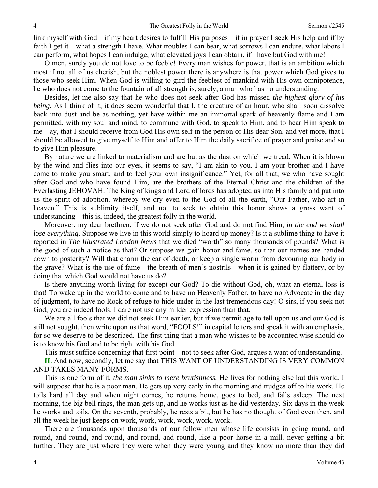link myself with God—if my heart desires to fulfill His purposes—if in prayer I seek His help and if by faith I get it—what a strength I have. What troubles I can bear, what sorrows I can endure, what labors I can perform, what hopes I can indulge, what elevated joys I can obtain, if I have but God with me!

 O men, surely you do not love to be feeble! Every man wishes for power, that is an ambition which most if not all of us cherish, but the noblest power there is anywhere is that power which God gives to those who seek Him. When God is willing to gird the feeblest of mankind with His own omnipotence, he who does not come to the fountain of all strength is, surely, a man who has no understanding.

 Besides, let me also say that he who does not seek after God has missed *the highest glory of his being.* As I think of it, it does seem wonderful that I, the creature of an hour, who shall soon dissolve back into dust and be as nothing, yet have within me an immortal spark of heavenly flame and I am permitted, with my soul and mind, to commune with God, to speak to Him, and to hear Him speak to me—ay, that I should receive from God His own self in the person of His dear Son, and yet more, that I should be allowed to give myself to Him and offer to Him the daily sacrifice of prayer and praise and so to give Him pleasure.

 By nature we are linked to materialism and are but as the dust on which we tread. When it is blown by the wind and flies into our eyes, it seems to say, "I am akin to you. I am your brother and I have come to make you smart, and to feel your own insignificance." Yet, for all that, we who have sought after God and who have found Him, are the brothers of the Eternal Christ and the children of the Everlasting JEHOVAH. The King of kings and Lord of lords has adopted us into His family and put into us the spirit of adoption, whereby we cry even to the God of all the earth, "Our Father, who art in heaven." This is sublimity itself, and not to seek to obtain this honor shows a gross want of understanding—this is, indeed, the greatest folly in the world.

 Moreover, my dear brethren, if we do not seek after God and do not find Him, *in the end we shall lose everything.* Suppose we live in this world simply to hoard up money? Is it a sublime thing to have it reported in *The Illustrated London News* that we died "worth" so many thousands of pounds? What is the good of such a notice as that? Or suppose we gain honor and fame, so that our names are handed down to posterity? Will that charm the ear of death, or keep a single worm from devouring our body in the grave? What is the use of fame—the breath of men's nostrils—when it is gained by flattery, or by doing that which God would not have us do?

 Is there anything worth living for except our God? To die without God, oh, what an eternal loss is that! To wake up in the world to come and to have no Heavenly Father, to have no Advocate in the day of judgment, to have no Rock of refuge to hide under in the last tremendous day! O sirs, if you seek not God, you are indeed fools. I dare not use any milder expression than that.

 We are all fools that we did not seek Him earlier, but if we permit age to tell upon us and our God is still not sought, then write upon us that word, "FOOLS!" in capital letters and speak it with an emphasis, for so we deserve to be described. The first thing that a man who wishes to be accounted wise should do is to know his God and to be right with his God.

This must suffice concerning that first point—not to seek after God, argues a want of understanding.

**II.** And now, secondly, let me say that THIS WANT OF UNDERSTANDING IS VERY COMMON AND TAKES MANY FORMS.

 This is one form of it, *the man sinks to mere brutishness.* He lives for nothing else but this world. I will suppose that he is a poor man. He gets up very early in the morning and trudges off to his work. He toils hard all day and when night comes, he returns home, goes to bed, and falls asleep. The next morning, the big bell rings, the man gets up, and he works just as he did yesterday. Six days in the week he works and toils. On the seventh, probably, he rests a bit, but he has no thought of God even then, and all the week he just keeps on work, work, work, work, work, work.

 There are thousands upon thousands of our fellow men whose life consists in going round, and round, and round, and round, and round, and round, like a poor horse in a mill, never getting a bit further. They are just where they were when they were young and they know no more than they did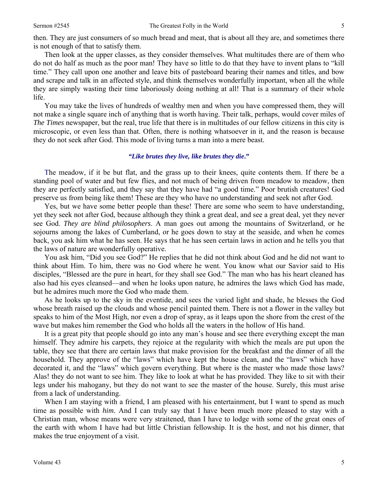then. They are just consumers of so much bread and meat, that is about all they are, and sometimes there is not enough of that to satisfy them.

 Then look at the upper classes, as they consider themselves. What multitudes there are of them who do not do half as much as the poor man! They have so little to do that they have to invent plans to "kill time." They call upon one another and leave bits of pasteboard bearing their names and titles, and bow and scrape and talk in an affected style, and think themselves wonderfully important, when all the while they are simply wasting their time laboriously doing nothing at all! That is a summary of their whole life.

 You may take the lives of hundreds of wealthy men and when you have compressed them, they will not make a single square inch of anything that is worth having. Their talk, perhaps, would cover miles of *The Times* newspaper, but the real, true life that there is in multitudes of our fellow citizens in this city is microscopic, or even less than that. Often, there is nothing whatsoever in it, and the reason is because they do not seek after God. This mode of living turns a man into a mere beast.

### *"Like brutes they live, like brutes they die***."**

 The meadow, if it be but flat, and the grass up to their knees, quite contents them. If there be a standing pool of water and but few flies, and not much of being driven from meadow to meadow, then they are perfectly satisfied, and they say that they have had "a good time." Poor brutish creatures! God preserve us from being like them! These are they who have no understanding and seek not after God.

 Yes, but we have some better people than these! There are some who seem to have understanding, yet they seek not after God, because although they think a great deal, and see a great deal, yet they never see God. *They are blind philosophers*. A man goes out among the mountains of Switzerland, or he sojourns among the lakes of Cumberland, or he goes down to stay at the seaside, and when he comes back, you ask him what he has seen. He says that he has seen certain laws in action and he tells you that the laws of nature are wonderfully operative.

 You ask him, "Did you see God?" He replies that he did not think about God and he did not want to think about Him. To him, there was no God where he went. You know what our Savior said to His disciples, "Blessed are the pure in heart, for they shall see God." The man who has his heart cleaned has also had his eyes cleansed—and when he looks upon nature, he admires the laws which God has made, but he admires much more the God who made them.

 As he looks up to the sky in the eventide, and sees the varied light and shade, he blesses the God whose breath raised up the clouds and whose pencil painted them. There is not a flower in the valley but speaks to him of the Most High, nor even a drop of spray, as it leaps upon the shore from the crest of the wave but makes him remember the God who holds all the waters in the hollow of His hand.

 It is a great pity that people should go into any man's house and see there everything except the man himself. They admire his carpets, they rejoice at the regularity with which the meals are put upon the table, they see that there are certain laws that make provision for the breakfast and the dinner of all the household. They approve of the "laws" which have kept the house clean, and the "laws" which have decorated it, and the "laws" which govern everything. But where is the master who made those laws? Alas! they do not want to see him. They like to look at what he has provided. They like to sit with their legs under his mahogany, but they do not want to see the master of the house. Surely, this must arise from a lack of understanding.

When I am staying with a friend, I am pleased with his entertainment, but I want to spend as much time as possible with *him*. And I can truly say that I have been much more pleased to stay with a Christian man, whose means were very straitened, than I have to lodge with some of the great ones of the earth with whom I have had but little Christian fellowship. It is the host, and not his dinner, that makes the true enjoyment of a visit.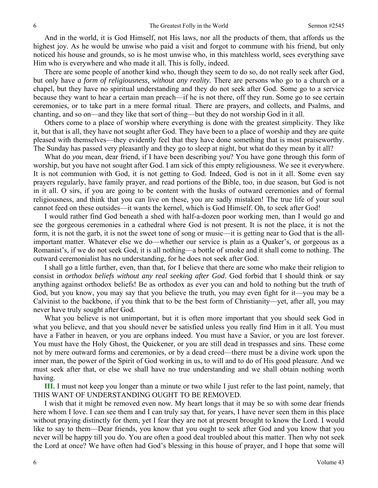And in the world, it is God Himself, not His laws, nor all the products of them, that affords us the highest joy. As he would be unwise who paid a visit and forgot to commune with his friend, but only noticed his house and grounds, so is he most unwise who, in this matchless world, sees everything save Him who is everywhere and who made it all. This is folly, indeed.

 There are some people of another kind who, though they seem to do so, do not really seek after God, but only have *a form of religiousness, without any reality.* There are persons who go to a church or a chapel, but they have no spiritual understanding and they do not seek after God. Some go to a service because they want to hear a certain man preach—if he is not there, off they run. Some go to see certain ceremonies, or to take part in a mere formal ritual. There are prayers, and collects, and Psalms, and chanting, and so on—and they like that sort of thing—but they do not worship God in it all.

 Others come to a place of worship where everything is done with the greatest simplicity. They like it, but that is all, they have not sought after God. They have been to a place of worship and they are quite pleased with themselves—they evidently feel that they have done something that is most praiseworthy. The Sunday has passed very pleasantly and they go to sleep at night, but what do they mean by it all?

What do *you* mean, dear friend, if I have been describing you? You have gone through this form of worship, but you have not sought after God. I am sick of this empty religiousness. We see it everywhere. It is not communion with God, it is not getting to God. Indeed, God is not in it all. Some even say prayers regularly, have family prayer, and read portions of the Bible, too, in due season, but God is not in it all. O sirs, if you are going to be content with the husks of outward ceremonies and of formal religiousness, and think that you can live on these, you are sadly mistaken! The true life of your soul cannot feed on these outsides—it wants the kernel, which is God Himself. Oh, to seek after God!

 I would rather find God beneath a shed with half-a-dozen poor working men, than I would go and see the gorgeous ceremonies in a cathedral where God is not present. It is not the place, it is not the form, it is not the garb, it is not the sweet tone of song or music—it is getting near to God that is the allimportant matter. Whatever else we do—whether our service is plain as a Quaker's, or gorgeous as a Romanist's, if we do not seek God, it is all nothing—a bottle of smoke and it shall come to nothing. The outward ceremonialist has no understanding, for he does not seek after God.

 I shall go a little further, even, than that, for I believe that there are some who make their religion to consist in *orthodox beliefs without any real seeking after God*. God forbid that I should think or say anything against orthodox beliefs! Be as orthodox as ever you can and hold to nothing but the truth of God, but you know, you may say that you believe the truth, you may even fight for it—you may be a Calvinist to the backbone, if you think that to be the best form of Christianity—yet, after all, you may never have truly sought after God.

 What you believe is not unimportant, but it is often more important that you should seek God in what you believe, and that you should never be satisfied unless you really find Him in it all. You must have a Father in heaven, or you are orphans indeed. You must have a Savior, or you are lost forever. You must have the Holy Ghost, the Quickener, or you are still dead in trespasses and sins. These come not by mere outward forms and ceremonies, or by a dead creed—there must be a divine work upon the inner man, the power of the Spirit of God working in us, to will and to do of His good pleasure. And we must seek after that, or else we shall have no true understanding and we shall obtain nothing worth having.

**III.** I must not keep you longer than a minute or two while I just refer to the last point, namely, that THIS WANT OF UNDERSTANDING OUGHT TO BE REMOVED.

 I wish that it might be removed even now. My heart longs that it may be so with some dear friends here whom I love. I can see them and I can truly say that, for years, I have never seen them in this place without praying distinctly for them, yet I fear they are not at present brought to know the Lord. I would like to say to them—Dear friends, you know that you ought to seek after God and you know that you never will be happy till you do. You are often a good deal troubled about this matter. Then why not seek the Lord at once? We have often had God's blessing in this house of prayer, and I hope that some will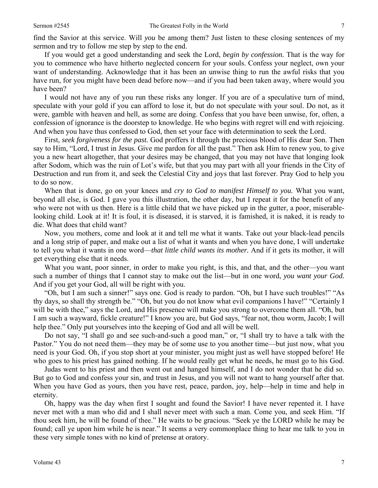find the Savior at this service. Will *you* be among them? Just listen to these closing sentences of my sermon and try to follow me step by step to the end.

 If you would get a good understanding and seek the Lord, *begin by confession.* That is the way for you to commence who have hitherto neglected concern for your souls. Confess your neglect, own your want of understanding. Acknowledge that it has been an unwise thing to run the awful risks that you have run, for you might have been dead before now—and if you had been taken away, where would you have been?

 I would not have any of you run these risks any longer. If you are of a speculative turn of mind, speculate with your gold if you can afford to lose it, but do not speculate with your soul. Do not, as it were, gamble with heaven and hell, as some are doing. Confess that you have been unwise, for, often, a confession of ignorance is the doorstep to knowledge. He who begins with regret will end with rejoicing. And when you have thus confessed to God, then set your face with determination to seek the Lord.

 First, *seek forgiveness for the past.* God proffers it through the precious blood of His dear Son. Then say to Him, "Lord, I trust in Jesus. Give me pardon for all the past." Then ask Him to renew you, to give you a new heart altogether, that your desires may be changed, that you may not have that longing look after Sodom, which was the ruin of Lot's wife, but that you may part with all your friends in the City of Destruction and run from it, and seek the Celestial City and joys that last forever. Pray God to help you to do so now.

 When that is done, go on your knees and *cry to God to manifest Himself to you.* What you want, beyond all else, is God. I gave you this illustration, the other day, but I repeat it for the benefit of any who were not with us then. Here is a little child that we have picked up in the gutter, a poor, miserablelooking child. Look at it! It is foul, it is diseased, it is starved, it is famished, it is naked, it is ready to die. What does that child want?

 Now, you mothers, come and look at it and tell me what it wants. Take out your black-lead pencils and a long strip of paper, and make out a list of what it wants and when you have done, I will undertake to tell you what it wants in one word—*that little child wants its mother.* And if it gets its mother, it will get everything else that it needs.

 What you want, poor sinner, in order to make you right, is this, and that, and the other—you want such a number of things that I cannot stay to make out the list—but in one word, *you want your God.*  And if you get your God, all will be right with you.

 "Oh, but I am such a sinner!" says one. God is ready to pardon. "Oh, but I have such troubles!" "As thy days, so shall thy strength be." "Oh, but you do not know what evil companions I have!" "Certainly I will be with thee," says the Lord, and His presence will make you strong to overcome them all. "Oh, but I am such a wayward, fickle creature!" I know you are, but God says, "fear not, thou worm, Jacob; I will help thee." Only put yourselves into the keeping of God and all will be well.

 Do not say, "I shall go and see such-and-such a good man," or, "I shall try to have a talk with the Pastor." You do not need them—they may be of some use to you another time—but just now, what you need is your God. Oh, if you stop short at your minister, you might just as well have stopped before! He who goes to his priest has gained nothing. If he would really get what he needs, he must go to his God.

 Judas went to his priest and then went out and hanged himself, and I do not wonder that he did so. But go to God and confess your sin, and trust in Jesus, and you will not want to hang yourself after that. When you have God as yours, then you have rest, peace, pardon, joy, help—help in time and help in eternity.

 Oh, happy was the day when first I sought and found the Savior! I have never repented it. I have never met with a man who did and I shall never meet with such a man. Come you, and seek Him. "If thou seek him, he will be found of thee." He waits to be gracious. "Seek ye the LORD while he may be found; call ye upon him while he is near." It seems a very commonplace thing to hear me talk to you in these very simple tones with no kind of pretense at oratory.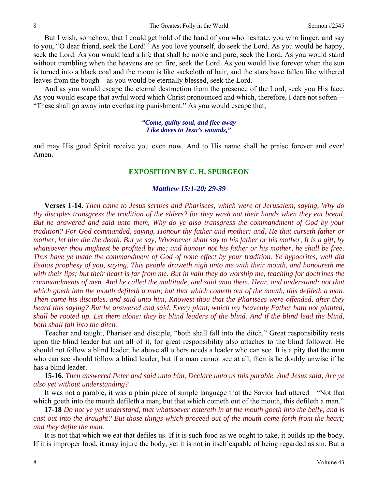But I wish, somehow, that I could get hold of the hand of you who hesitate, you who linger, and say to you, "O dear friend, seek the Lord!" As you love yourself, do seek the Lord. As you would be happy, seek the Lord. As you would lead a life that shall be noble and pure, seek the Lord. As you would stand without trembling when the heavens are on fire, seek the Lord. As you would live forever when the sun is turned into a black coal and the moon is like sackcloth of hair, and the stars have fallen like withered leaves from the bough—as you would be eternally blessed, seek the Lord.

 And as you would escape the eternal destruction from the presence of the Lord, seek you His face. As you would escape that awful word which Christ pronounced and which, therefore, I dare not soften— "These shall go away into everlasting punishment." As you would escape that,

#### *"Come, guilty soul, and flee away Like doves to Jesu's wounds,"*

and may His good Spirit receive you even now. And to His name shall be praise forever and ever! Amen.

#### **EXPOSITION BY C. H. SPURGEON**

#### *Matthew 15:1-20; 29-39*

**Verses 1-14.** *Then came to Jesus scribes and Pharisees, which were of Jerusalem, saying, Why do thy disciples transgress the tradition of the elders? for they wash not their hands when they eat bread. But he answered and said unto them, Why do ye also transgress the commandment of God by your tradition? For God commanded, saying, Honour thy father and mother: and, He that curseth father or mother, let him die the death. But ye say, Whosoever shall say to his father or his mother, It is a gift, by whatsoever thou mightest be profited by me; and honour not his father or his mother, he shall be free. Thus have ye made the commandment of God of none effect by your tradition. Ye hypocrites, well did Esaias prophesy of you, saying, This people draweth nigh unto me with their mouth, and honoureth me with their lips; but their heart is far from me. But in vain they do worship me, teaching for doctrines the commandments of men. And he called the multitude, and said unto them, Hear, and understand: not that which goeth into the mouth defileth a man; but that which cometh out of the mouth, this defileth a man. Then came his disciples, and said unto him, Knowest thou that the Pharisees were offended, after they heard this saying? But he answered and said, Every plant, which my heavenly Father hath not planted, shall be rooted up. Let them alone: they be blind leaders of the blind. And if the blind lead the blind, both shall fall into the ditch.*

 Teacher and taught, Pharisee and disciple, "both shall fall into the ditch." Great responsibility rests upon the blind leader but not all of it, for great responsibility also attaches to the blind follower. He should not follow a blind leader, he above all others needs a leader who can see. It is a pity that the man who can see should follow a blind leader, but if a man cannot see at all, then is he doubly unwise if he has a blind leader.

**15-16.** *Then answered Peter and said unto him, Declare unto us this parable. And Jesus said, Are ye also yet without understanding?* 

 It was not a parable, it was a plain piece of simple language that the Savior had uttered—"Not that which goeth into the mouth defileth a man; but that which cometh out of the mouth, this defileth a man."

**17-18** *Do not ye yet understand, that whatsoever entereth in at the mouth goeth into the belly, and is cast out into the draught? But those things which proceed out of the mouth come forth from the heart; and they defile the man.*

 It is not that which we eat that defiles us. If it is such food as we ought to take, it builds up the body. If it is improper food, it may injure the body, yet it is not in itself capable of being regarded as sin. But a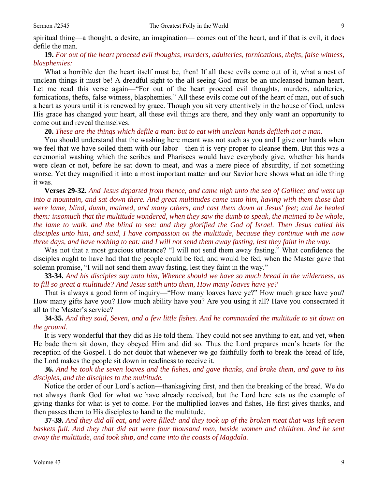spiritual thing—a thought, a desire, an imagination— comes out of the heart, and if that is evil, it does defile the man.

### **19.** *For out of the heart proceed evil thoughts, murders, adulteries, fornications, thefts, false witness, blasphemies:*

 What a horrible den the heart itself must be, then! If all these evils come out of it, what a nest of unclean things it must be! A dreadful sight to the all-seeing God must be an uncleansed human heart. Let me read this verse again—"For out of the heart proceed evil thoughts, murders, adulteries, fornications, thefts, false witness, blasphemies." All these evils come out of the heart of man, out of such a heart as yours until it is renewed by grace. Though you sit very attentively in the house of God, unless His grace has changed your heart, all these evil things are there, and they only want an opportunity to come out and reveal themselves.

**20.** *These are the things which defile a man: but to eat with unclean hands defileth not a man.* 

 You should understand that the washing here meant was not such as you and I give our hands when we feel that we have soiled them with our labor—then it is very proper to cleanse them. But this was a ceremonial washing which the scribes and Pharisees would have everybody give, whether his hands were clean or not, before he sat down to meat, and was a mere piece of absurdity, if not something worse. Yet they magnified it into a most important matter and our Savior here shows what an idle thing it was.

**Verses 29-32.** *And Jesus departed from thence, and came nigh unto the sea of Galilee; and went up into a mountain, and sat down there. And great multitudes came unto him, having with them those that were lame, blind, dumb, maimed, and many others, and cast them down at Jesus' feet; and he healed them: insomuch that the multitude wondered, when they saw the dumb to speak, the maimed to be whole, the lame to walk, and the blind to see: and they glorified the God of Israel. Then Jesus called his disciples unto him, and said, I have compassion on the multitude, because they continue with me now three days, and have nothing to eat: and I will not send them away fasting, lest they faint in the way.*

 Was not that a most gracious utterance? "I will not send them away fasting." What confidence the disciples ought to have had that the people could be fed, and would be fed, when the Master gave that solemn promise, "I will not send them away fasting, lest they faint in the way."

**33-34.** *And his disciples say unto him, Whence should we have so much bread in the wilderness, as to fill so great a multitude? And Jesus saith unto them, How many loaves have ye?*

 That is always a good form of inquiry—"How many loaves have ye?" How much grace have you? How many gifts have you? How much ability have you? Are you using it all? Have you consecrated it all to the Master's service?

**34-35.** *And they said, Seven, and a few little fishes. And he commanded the multitude to sit down on the ground.*

 It is very wonderful that they did as He told them. They could not see anything to eat, and yet, when He bade them sit down, they obeyed Him and did so. Thus the Lord prepares men's hearts for the reception of the Gospel. I do not doubt that whenever we go faithfully forth to break the bread of life, the Lord makes the people sit down in readiness to receive it.

**36.** *And he took the seven loaves and the fishes, and gave thanks, and brake them, and gave to his disciples, and the disciples to the multitude.*

 Notice the order of our Lord's action—thanksgiving first, and then the breaking of the bread. We do not always thank God for what we have already received, but the Lord here sets us the example of giving thanks for what is yet to come. For the multiplied loaves and fishes, He first gives thanks, and then passes them to His disciples to hand to the multitude.

**37-39.** *And they did all eat, and were filled: and they took up of the broken meat that was left seven baskets full. And they that did eat were four thousand men, beside women and children. And he sent away the multitude, and took ship, and came into the coasts of Magdala.*